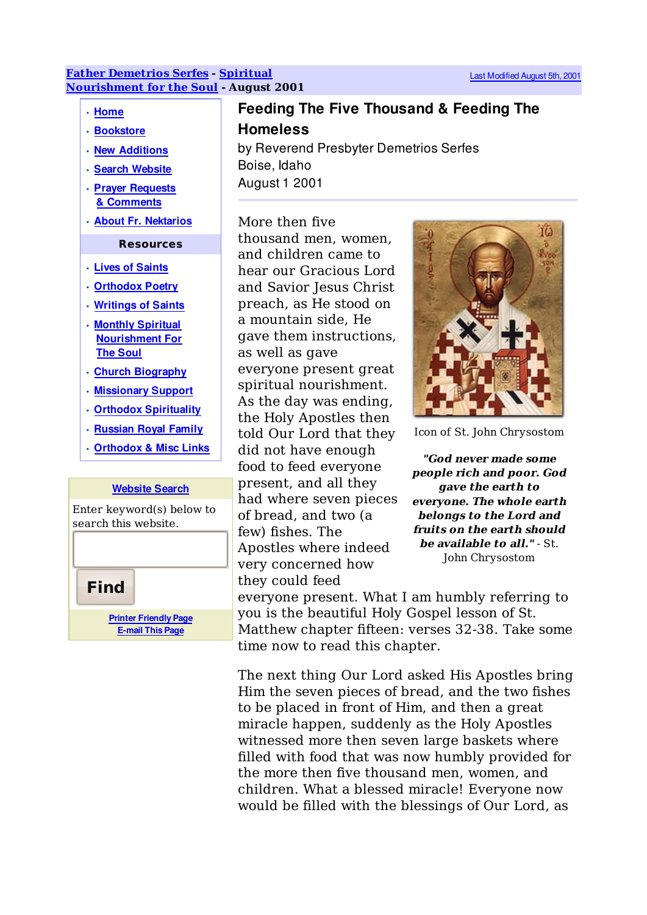## **Father Demetrios Serfes - Spiritual Nourishment for the Soul - August 2001**

## • Home

- Bookstore
- New Additions
- Search Website
- Prayer Requests & Comments
- About Fr. Nektarios

## **Resources**

- Lives of Saints
- Orthodox Poetry
- Writings of Saints
- Monthly Spiritual Nourishment For The Soul
- Church Biography
- Missionary Support
- Orthodox Spirituality
- Russian Royal Family
- Orthodox & Misc Links

## Website Search

Enter keyword(s) below to search this website.



Feeding The Five Thousand & Feeding The **Homeless** by Reverend Presbyter Demetrios Serfes

Boise, Idaho

August 1 2001

More then five thousand men, women, and children came to hear our Gracious Lord and Savior Jesus Christ preach, as He stood on a mountain side, He gave them instructions, as well as gave everyone present great spiritual nourishment. As the day was ending, the Holy Apostles then told Our Lord that they did not have enough food to feed everyone present, and all they had where seven pieces of bread, and two (a few) fishes. The Apostles where indeed very concerned how they could feed



Icon of St. John Chrysostom

**"God never made some people rich and poor. God gave the earth to everyone. The whole earth belongs to the Lord and fruits on the earth should be available to all."** - St. John Chrysostom

everyone present. What I am humbly referring to you is the beautiful Holy Gospel lesson of St. Matthew chapter fifteen: verses 32-38. Take some time now to read this chapter.

The next thing Our Lord asked His Apostles bring Him the seven pieces of bread, and the two fishes to be placed in front of Him, and then a great miracle happen, suddenly as the Holy Apostles witnessed more then seven large baskets where filled with food that was now humbly provided for the more then five thousand men, women, and children. What a blessed miracle! Everyone now would be filled with the blessings of Our Lord, as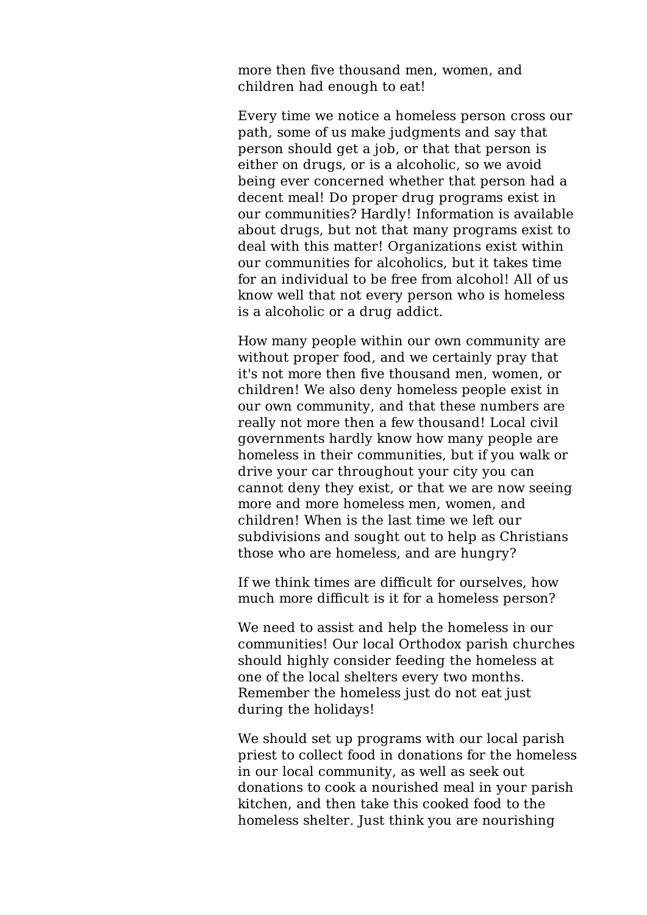more then five thousand men, women, and children had enough to eat!

Every time we notice a homeless person cross our path, some of us make judgments and say that person should get a job, or that that person is either on drugs, or is a alcoholic, so we avoid being ever concerned whether that person had a decent meal! Do proper drug programs exist in our communities? Hardly! Information is available about drugs, but not that many programs exist to deal with this matter! Organizations exist within our communities for alcoholics, but it takes time for an individual to be free from alcohol! All of us know well that not every person who is homeless is a alcoholic or a drug addict.

How many people within our own community are without proper food, and we certainly pray that it's not more then five thousand men, women, or children! We also deny homeless people exist in our own community, and that these numbers are really not more then a few thousand! Local civil governments hardly know how many people are homeless in their communities, but if you walk or drive your car throughout your city you can cannot deny they exist, or that we are now seeing more and more homeless men, women, and children! When is the last time we left our subdivisions and sought out to help as Christians those who are homeless, and are hungry?

If we think times are difficult for ourselves, how much more difficult is it for a homeless person?

We need to assist and help the homeless in our communities! Our local Orthodox parish churches should highly consider feeding the homeless at one of the local shelters every two months. Remember the homeless just do not eat just during the holidays!

We should set up programs with our local parish priest to collect food in donations for the homeless in our local community, as well as seek out donations to cook a nourished meal in your parish kitchen, and then take this cooked food to the homeless shelter. Just think you are nourishing